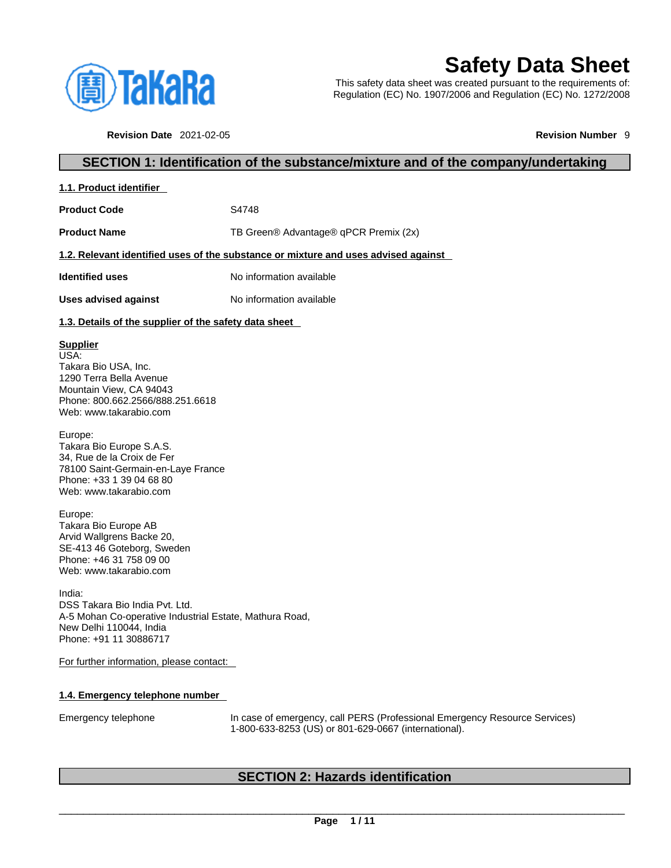

# **Safety Data Sheet**

This safety data sheet was created pursuant to the requirements of: Regulation (EC) No. 1907/2006 and Regulation (EC) No. 1272/2008

**Revision Date** 2021-02-05 **Revision Number** 9

# **SECTION 1: Identification of the substance/mixture and of the company/undertaking**

| 1.1. Product identifier |
|-------------------------|
|-------------------------|

**Product Code 54748** 

**Product Name** TB Green® Advantage® qPCR Premix (2x)

#### **1.2. Relevant identified uses of the substance or mixture and uses advised against**

**Identified uses** No information available

**Uses advised against** No information available

### **1.3. Details of the supplier of the safety data sheet**

### **Supplier**

USA: Takara Bio USA, Inc. 1290 Terra Bella Avenue Mountain View, CA 94043 Phone: 800.662.2566/888.251.6618 Web: www.takarabio.com

Europe: Takara Bio Europe S.A.S. 34, Rue de la Croix de Fer 78100 Saint-Germain-en-Laye France Phone: +33 1 39 04 68 80 Web: www.takarabio.com

Europe: Takara Bio Europe AB Arvid Wallgrens Backe 20, SE-413 46 Goteborg, Sweden Phone: +46 31 758 09 00 Web: www.takarabio.com

India: DSS Takara Bio India Pvt. Ltd. A-5 Mohan Co-operative Industrial Estate, Mathura Road, New Delhi 110044, India Phone: +91 11 30886717

For further information, please contact:

### **1.4. Emergency telephone number**

Emergency telephone In case of emergency, call PERS (Professional Emergency Resource Services) 1-800-633-8253 (US) or 801-629-0667 (international).

# **SECTION 2: Hazards identification**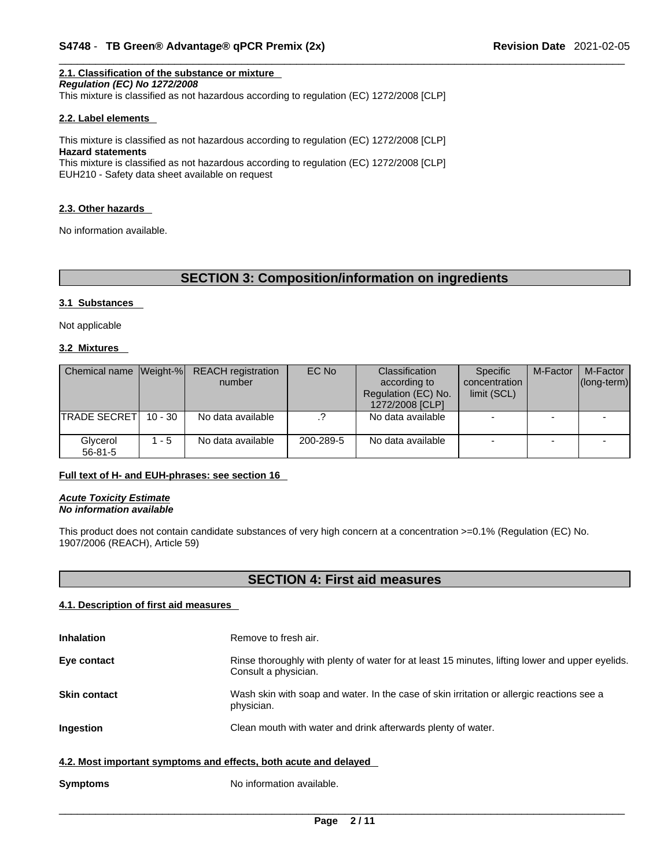# **2.1. Classification of the substance or mixture**

*Regulation (EC) No 1272/2008* 

This mixture is classified as not hazardous according to regulation (EC) 1272/2008 [CLP]

#### **2.2. Label elements**

This mixture is classified as not hazardous according to regulation (EC) 1272/2008 [CLP] **Hazard statements** This mixture is classified as not hazardous according to regulation (EC) 1272/2008 [CLP]

EUH210 - Safety data sheet available on request

#### **2.3. Other hazards**

No information available.

# **SECTION 3: Composition/information on ingredients**

#### **3.1 Substances**

Not applicable

#### **3.2 Mixtures**

| Chemical name Weight-%    |           | <b>REACH</b> registration<br>number | EC No     | Classification<br>according to<br>Regulation (EC) No.<br>1272/2008 [CLP] | <b>Specific</b><br>concentration<br>limit (SCL) | M-Factor | M-Factor<br>$ $ (long-term) $ $ |
|---------------------------|-----------|-------------------------------------|-----------|--------------------------------------------------------------------------|-------------------------------------------------|----------|---------------------------------|
| <b>TRADE SECRETI</b>      | $10 - 30$ | No data available                   |           | No data available                                                        |                                                 |          |                                 |
| Glycerol<br>$56 - 81 - 5$ | $1 - 5$   | No data available                   | 200-289-5 | No data available                                                        |                                                 |          |                                 |

#### **Full text of H- and EUH-phrases: see section 16**

*Acute Toxicity Estimate No information available* 

This product does not contain candidate substances of very high concern at a concentration >=0.1% (Regulation (EC) No. 1907/2006 (REACH), Article 59)

# **SECTION 4: First aid measures**

#### **4.1. Description of first aid measures**

| <b>Inhalation</b>                                                | Remove to fresh air.                                                                                                    |  |  |  |  |
|------------------------------------------------------------------|-------------------------------------------------------------------------------------------------------------------------|--|--|--|--|
| Eye contact                                                      | Rinse thoroughly with plenty of water for at least 15 minutes, lifting lower and upper eyelids.<br>Consult a physician. |  |  |  |  |
| <b>Skin contact</b>                                              | Wash skin with soap and water. In the case of skin irritation or allergic reactions see a<br>physician.                 |  |  |  |  |
| Ingestion                                                        | Clean mouth with water and drink afterwards plenty of water.                                                            |  |  |  |  |
| 4.2. Most important symptoms and effects, both acute and delayed |                                                                                                                         |  |  |  |  |

**Symptoms** No information available.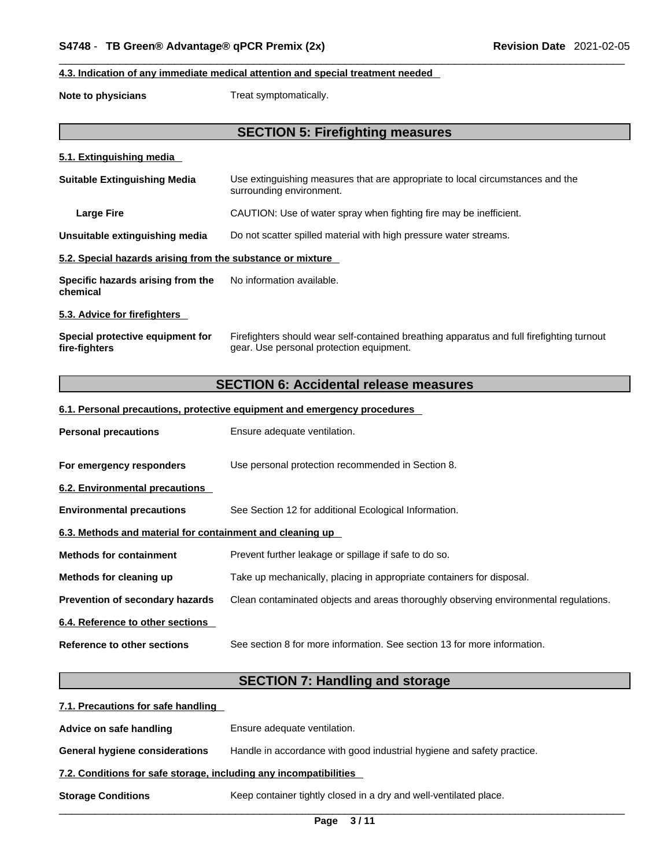#### **4.3. Indication of any immediate medical attention and special treatment needed**

**Note to physicians** Treat symptomatically.

# **SECTION 5: Firefighting measures**

#### **5.1. Extinguishing media**

| <b>Suitable Extinguishing Media</b>                        | Use extinguishing measures that are appropriate to local circumstances and the<br>surrounding environment. |
|------------------------------------------------------------|------------------------------------------------------------------------------------------------------------|
| <b>Large Fire</b>                                          | CAUTION: Use of water spray when fighting fire may be inefficient.                                         |
| Unsuitable extinguishing media                             | Do not scatter spilled material with high pressure water streams.                                          |
| 5.2. Special hazards arising from the substance or mixture |                                                                                                            |
| Specific hazards arising from the<br>chemical              | No information available.                                                                                  |
| 5.3. Advice for firefighters                               |                                                                                                            |

**Special protective equipment for fire-fighters** Firefighters should wear self-contained breathing apparatus and full firefighting turnout gear. Use personal protection equipment.

# **SECTION 6: Accidental release measures**

#### **6.1. Personal precautions, protective equipment and emergency procedures**

| <b>Personal precautions</b>                               | Ensure adequate ventilation.                                                         |
|-----------------------------------------------------------|--------------------------------------------------------------------------------------|
| For emergency responders                                  | Use personal protection recommended in Section 8.                                    |
| 6.2. Environmental precautions                            |                                                                                      |
| <b>Environmental precautions</b>                          | See Section 12 for additional Ecological Information.                                |
| 6.3. Methods and material for containment and cleaning up |                                                                                      |
| <b>Methods for containment</b>                            | Prevent further leakage or spillage if safe to do so.                                |
| Methods for cleaning up                                   | Take up mechanically, placing in appropriate containers for disposal.                |
| <b>Prevention of secondary hazards</b>                    | Clean contaminated objects and areas thoroughly observing environmental regulations. |
| 6.4. Reference to other sections                          |                                                                                      |
| Reference to other sections                               | See section 8 for more information. See section 13 for more information.             |

# **SECTION 7: Handling and storage**

| 7.1. Precautions for safe handling                                |                                                                        |
|-------------------------------------------------------------------|------------------------------------------------------------------------|
| Advice on safe handling                                           | Ensure adequate ventilation.                                           |
| <b>General hygiene considerations</b>                             | Handle in accordance with good industrial hygiene and safety practice. |
| 7.2. Conditions for safe storage, including any incompatibilities |                                                                        |
| <b>Storage Conditions</b>                                         | Keep container tightly closed in a dry and well-ventilated place.      |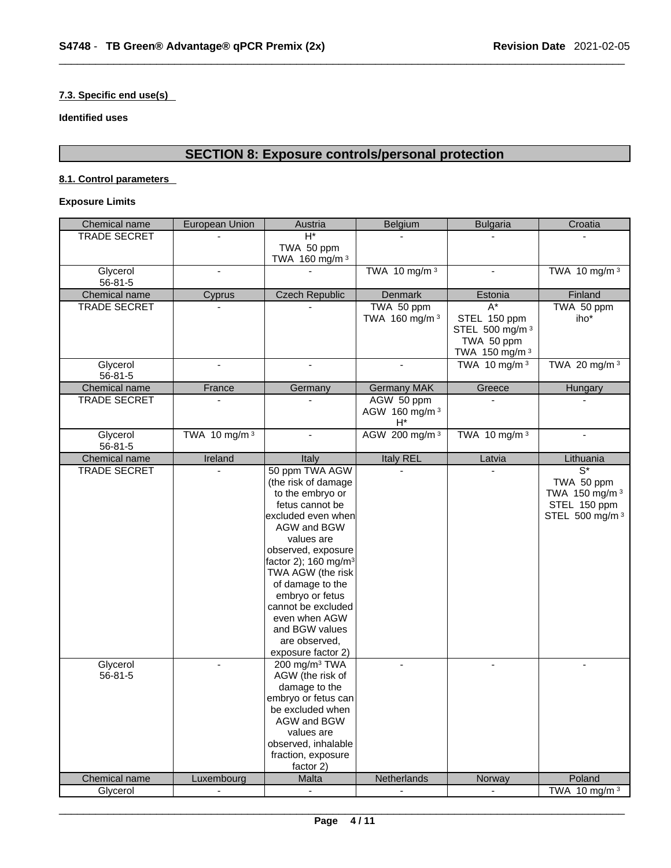#### **7.3. Specific end use(s)**

**Identified uses**

# **SECTION 8: Exposure controls/personal protection**

### **8.1. Control parameters**

## **Exposure Limits**

| Chemical name       | European Union  | Austria                                                                                                                                                                                                                                                                                                                                               | Belgium                                 | <b>Bulgaria</b>                                                                                | Croatia                                                                             |
|---------------------|-----------------|-------------------------------------------------------------------------------------------------------------------------------------------------------------------------------------------------------------------------------------------------------------------------------------------------------------------------------------------------------|-----------------------------------------|------------------------------------------------------------------------------------------------|-------------------------------------------------------------------------------------|
| <b>TRADE SECRET</b> |                 | $\overline{H^*}$                                                                                                                                                                                                                                                                                                                                      |                                         |                                                                                                |                                                                                     |
|                     |                 | TWA 50 ppm<br>TWA 160 mg/m <sup>3</sup>                                                                                                                                                                                                                                                                                                               |                                         |                                                                                                |                                                                                     |
| Glycerol<br>56-81-5 | $\blacksquare$  |                                                                                                                                                                                                                                                                                                                                                       | TWA 10 mg/m $3$                         | $\overline{a}$                                                                                 | TWA 10 mg/m 3                                                                       |
| Chemical name       | Cyprus          | <b>Czech Republic</b>                                                                                                                                                                                                                                                                                                                                 | <b>Denmark</b>                          | Estonia                                                                                        | Finland                                                                             |
| TRADE SECRET        |                 |                                                                                                                                                                                                                                                                                                                                                       | TWA 50 ppm<br>TWA 160 mg/m <sup>3</sup> | $\overline{A^*}$<br>STEL 150 ppm<br>STEL 500 mg/m <sup>3</sup><br>TWA 50 ppm<br>TWA 150 mg/m 3 | TWA 50 ppm<br>iho*                                                                  |
| Glycerol<br>56-81-5 | $\sim$          | $\blacksquare$                                                                                                                                                                                                                                                                                                                                        | $\sim$                                  | TWA 10 mg/m $3$                                                                                | TWA 20 mg/m 3                                                                       |
| Chemical name       | France          | Germany                                                                                                                                                                                                                                                                                                                                               | <b>Germany MAK</b>                      | Greece                                                                                         | Hungary                                                                             |
| TRADE SECRET        | $\blacksquare$  |                                                                                                                                                                                                                                                                                                                                                       | AGW 50 ppm<br>AGW 160 mg/m 3<br>$H^*$   | $\mathbf{r}$                                                                                   |                                                                                     |
| Glycerol<br>56-81-5 | TWA 10 mg/m $3$ | $\overline{a}$                                                                                                                                                                                                                                                                                                                                        | AGW 200 mg/m 3                          | TWA 10 mg/m $3$                                                                                | $\overline{a}$                                                                      |
| Chemical name       | Ireland         | Italy                                                                                                                                                                                                                                                                                                                                                 | <b>Italy REL</b>                        | Latvia                                                                                         | Lithuania                                                                           |
| <b>TRADE SECRET</b> |                 | 50 ppm TWA AGW<br>(the risk of damage<br>to the embryo or<br>fetus cannot be<br>excluded even when<br>AGW and BGW<br>values are<br>observed, exposure<br>factor 2); 160 mg/m <sup>3</sup><br>TWA AGW (the risk<br>of damage to the<br>embryo or fetus<br>cannot be excluded<br>even when AGW<br>and BGW values<br>are observed,<br>exposure factor 2) |                                         |                                                                                                | $\overline{S^*}$<br>TWA 50 ppm<br>TWA 150 mg/m 3<br>STEL 150 ppm<br>STEL 500 mg/m 3 |
| Glycerol<br>56-81-5 |                 | 200 mg/m <sup>3</sup> TWA<br>AGW (the risk of<br>damage to the<br>embryo or fetus can<br>be excluded when<br>AGW and BGW<br>values are<br>observed, inhalable<br>fraction, exposure<br>factor 2)                                                                                                                                                      |                                         | $\overline{a}$                                                                                 | $\omega$                                                                            |
| Chemical name       | Luxembourg      | Malta                                                                                                                                                                                                                                                                                                                                                 | Netherlands                             | Norway                                                                                         | Poland                                                                              |
| Glycerol            |                 |                                                                                                                                                                                                                                                                                                                                                       |                                         | $\mathbf{r}$                                                                                   | TWA 10 mg/m 3                                                                       |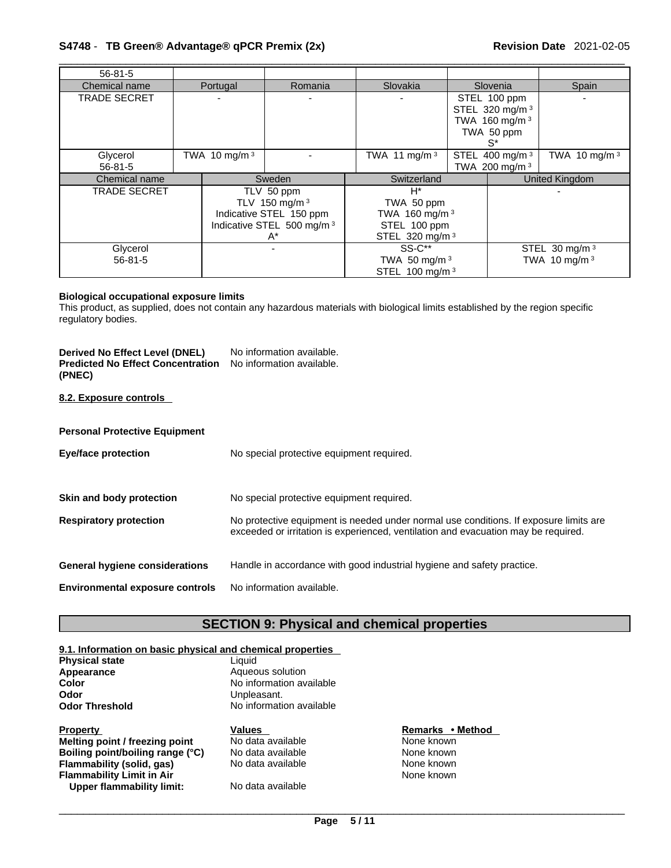## \_\_\_\_\_\_\_\_\_\_\_\_\_\_\_\_\_\_\_\_\_\_\_\_\_\_\_\_\_\_\_\_\_\_\_\_\_\_\_\_\_\_\_\_\_\_\_\_\_\_\_\_\_\_\_\_\_\_\_\_\_\_\_\_\_\_\_\_\_\_\_\_\_\_\_\_\_\_\_\_\_\_\_\_\_\_\_\_\_\_\_\_\_ **S4748** - **TB Green® Advantage® qPCR Premix (2x) Revision Date** 2021-02-05

| $56 - 81 - 5$                                                                          |  |                 |                                                                                                           |                                                                                                |  |                                                                                                |                 |
|----------------------------------------------------------------------------------------|--|-----------------|-----------------------------------------------------------------------------------------------------------|------------------------------------------------------------------------------------------------|--|------------------------------------------------------------------------------------------------|-----------------|
| Chemical name                                                                          |  | Portugal        | Romania                                                                                                   | Slovakia                                                                                       |  | Slovenia                                                                                       | Spain           |
| <b>TRADE SECRET</b>                                                                    |  |                 | $\overline{\phantom{0}}$                                                                                  |                                                                                                |  | STEL 100 ppm<br>STEL 320 mg/m <sup>3</sup><br>TWA 160 mg/m <sup>3</sup><br>TWA 50 ppm<br>$S^*$ |                 |
| Glycerol<br>$56 - 81 - 5$                                                              |  | TWA 10 mg/m $3$ |                                                                                                           | TWA 11 mg/m $3$                                                                                |  | STEL 400 mg/m <sup>3</sup><br>TWA 200 mg/m <sup>3</sup>                                        | TWA 10 mg/m $3$ |
| Chemical name                                                                          |  |                 | Sweden                                                                                                    | Switzerland                                                                                    |  |                                                                                                | United Kingdom  |
| <b>TRADE SECRET</b>                                                                    |  |                 | TLV 50 ppm<br>TLV 150 mg/m 3<br>Indicative STEL 150 ppm<br>Indicative STEL 500 mg/m <sup>3</sup><br>$A^*$ | $H^*$<br>TWA 50 ppm<br>TWA 160 mg/m <sup>3</sup><br>STEL 100 ppm<br>STEL 320 mg/m <sup>3</sup> |  |                                                                                                |                 |
| $SS-C**$<br>Glycerol<br>TWA 50 mg/m $3$<br>$56 - 81 - 5$<br>STEL 100 mg/m <sup>3</sup> |  |                 | STEL 30 mg/m <sup>3</sup><br>TWA 10 mg/m 3                                                                |                                                                                                |  |                                                                                                |                 |

#### **Biological occupational exposure limits**

This product, as supplied, does not contain any hazardous materials with biological limits established by the region specific regulatory bodies.

| Derived No Effect Level (DNEL)<br><b>Predicted No Effect Concentration</b><br>(PNEC) | No information available.<br>No information available. |
|--------------------------------------------------------------------------------------|--------------------------------------------------------|
| 8.2. Exposure controls                                                               |                                                        |
| <b>Personal Protective Equipment</b>                                                 |                                                        |

| <b>Eye/face protection</b>             | No special protective equipment required.                                                                                                                                   |
|----------------------------------------|-----------------------------------------------------------------------------------------------------------------------------------------------------------------------------|
| Skin and body protection               | No special protective equipment required.                                                                                                                                   |
| <b>Respiratory protection</b>          | No protective equipment is needed under normal use conditions. If exposure limits are<br>exceeded or irritation is experienced, ventilation and evacuation may be required. |
| General hygiene considerations         | Handle in accordance with good industrial hygiene and safety practice.                                                                                                      |
| <b>Environmental exposure controls</b> | No information available.                                                                                                                                                   |

# **SECTION 9: Physical and chemical properties**

## **9.1. Information on basic physical and chemical properties**

| <b>Physical state</b> |  |
|-----------------------|--|
| Appearance            |  |
| Color                 |  |
| Odor                  |  |
| <b>Odor Threshold</b> |  |
|                       |  |

**Liquid Appearance** Aqueous solution **No information available** Unpleasant. **No information available** 

#### **Property**<br> **Remarks** • **Method**<br> **Metting point / freezing point**<br> **None known**<br> **None known Melting point / freezing point** No data available None known<br> **Boiling point/boiling range (°C)** No data available None known **Boiling point/boiling range (°C)** No data available<br>**Flammability (solid, gas)** No data available **Flammability (solid, gas)** No data available None known **Flammability Limit in Air** None known **Upper flammability limit:** No data available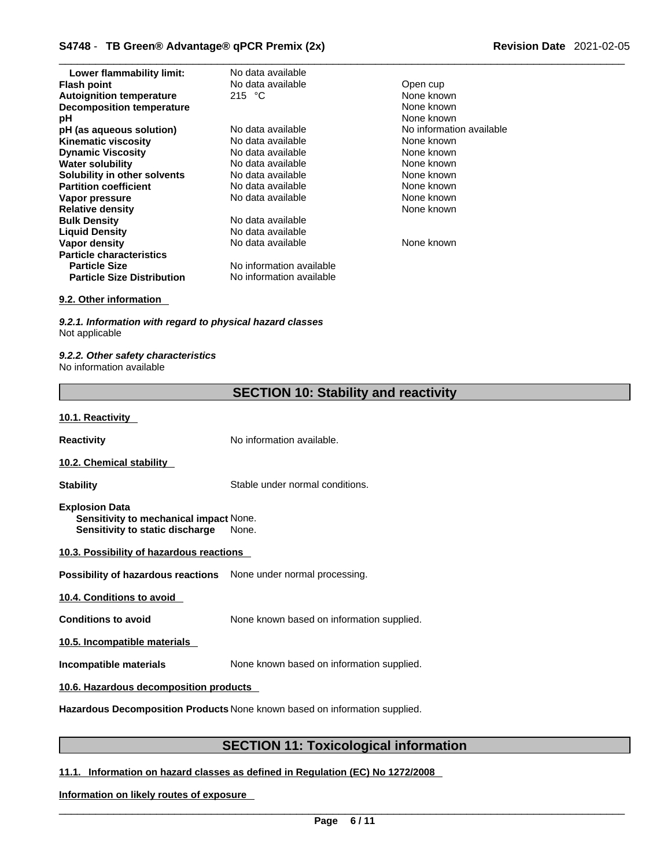| Lower flammability limit:         | No data available        |                        |
|-----------------------------------|--------------------------|------------------------|
| <b>Flash point</b>                | No data available        | Open cup               |
| <b>Autoignition temperature</b>   | 215 $\degree$ C          | None known             |
| <b>Decomposition temperature</b>  |                          | None known             |
| рH                                |                          | None known             |
| pH (as aqueous solution)          | No data available        | No information availab |
| <b>Kinematic viscosity</b>        | No data available        | None known             |
| <b>Dynamic Viscosity</b>          | No data available        | None known             |
| <b>Water solubility</b>           | No data available        | None known             |
| Solubility in other solvents      | No data available        | None known             |
| <b>Partition coefficient</b>      | No data available        | None known             |
| Vapor pressure                    | No data available        | None known             |
| <b>Relative density</b>           |                          | None known             |
| <b>Bulk Density</b>               | No data available        |                        |
| <b>Liquid Density</b>             | No data available        |                        |
| Vapor density                     | No data available        | None known             |
| <b>Particle characteristics</b>   |                          |                        |
| <b>Particle Size</b>              | No information available |                        |
| <b>Particle Size Distribution</b> | No information available |                        |

#### **9.2. Other information**

*9.2.1. Information with regard to physical hazard classes* Not applicable

*9.2.2. Other safety characteristics* No information available

| <b>SECTION 10: Stability and reactivity</b> |  |
|---------------------------------------------|--|
|---------------------------------------------|--|

**No information available** 

#### **10.1. Reactivity**

**Reactivity No information available.** 

#### **10.2. Chemical stability**

**Stability** Stable under normal conditions.

- **Explosion Data Sensitivity to mechanical impact** None. **Sensitivity to static discharge** None.
- **10.3. Possibility of hazardous reactions**

**Possibility of hazardous reactions** None under normal processing.

**10.4. Conditions to avoid** 

**Conditions to avoid** None known based on information supplied.

**10.5. Incompatible materials**

**Incompatible materials** None known based on information supplied.

#### **10.6. Hazardous decomposition products**

**Hazardous Decomposition Products** None known based on information supplied.

# **SECTION 11: Toxicological information**

#### **11.1. Information on hazard classes as defined in Regulation (EC) No 1272/2008**

**Information on likely routes of exposure**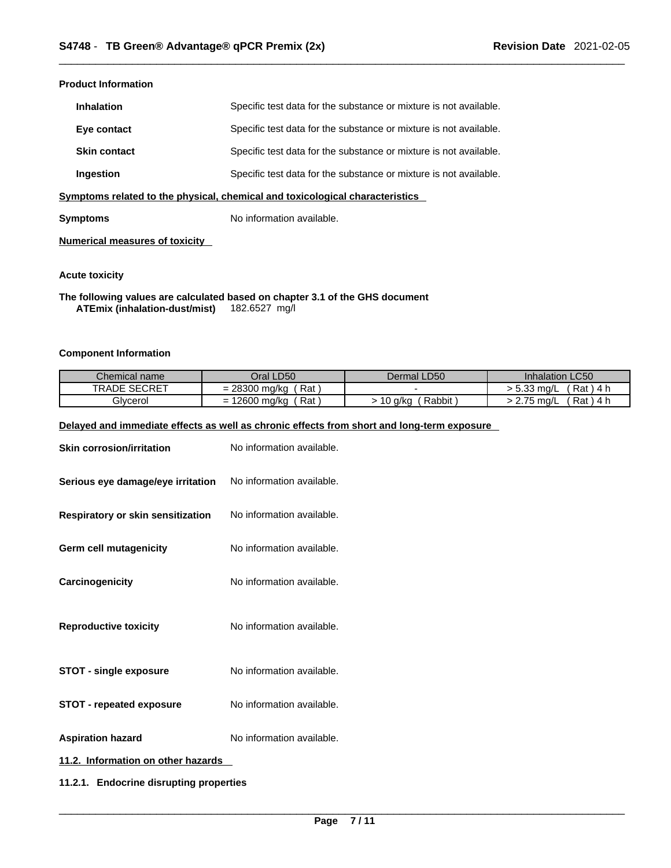#### **Product Information**

| <b>Inhalation</b>   | Specific test data for the substance or mixture is not available. |
|---------------------|-------------------------------------------------------------------|
| Eye contact         | Specific test data for the substance or mixture is not available. |
| <b>Skin contact</b> | Specific test data for the substance or mixture is not available. |
| Ingestion           | Specific test data for the substance or mixture is not available. |

**<u>Symptoms related to the physical, chemical and toxicological characteristics</u>** 

**Symptoms** No information available.

**Numerical measures of toxicity**

#### **Acute toxicity**

**The following values are calculated based on chapter 3.1 of the GHS document ATEmix (inhalation-dust/mist)** 182.6527 mg/l

#### **Component Information**

| Chemical name       | Oral LD50                                                | Dermal LD50       | Inhalation LC50                  |
|---------------------|----------------------------------------------------------|-------------------|----------------------------------|
| <b>TRADE SECRET</b> | Rat<br>28300<br>J ma/ka<br>$\overline{\phantom{0}}$<br>- |                   | Rat ) 4<br>ה הי<br>ma/L<br>ິບ.ບບ |
| Glycerol            | Rat<br>$\sim$<br>.2600 mg/kg<br>-<br>-                   | Rabbit<br>10 a/ka | Rat)<br>27 <sub>5</sub><br>mg/L  |

#### **Delayed and immediate effects as well as chronic effects from short and long-term exposure**

| <b>Skin corrosion/irritation</b>        | No information available. |  |
|-----------------------------------------|---------------------------|--|
| Serious eye damage/eye irritation       | No information available. |  |
| Respiratory or skin sensitization       | No information available. |  |
| Germ cell mutagenicity                  | No information available. |  |
| Carcinogenicity                         | No information available. |  |
| <b>Reproductive toxicity</b>            | No information available. |  |
| <b>STOT - single exposure</b>           | No information available. |  |
| <b>STOT - repeated exposure</b>         | No information available. |  |
| <b>Aspiration hazard</b>                | No information available. |  |
| 11.2. Information on other hazards      |                           |  |
| 11.2.1. Endocrine disrupting properties |                           |  |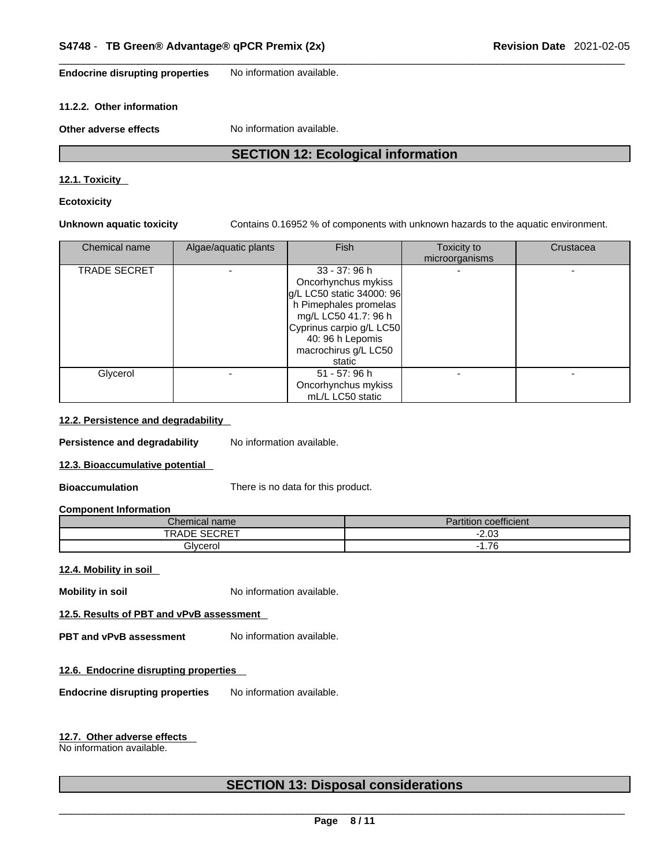**Endocrine disrupting properties** No information available.

#### **11.2.2. Other information**

**Other adverse effects** No information available.

# **SECTION 12: Ecological information**

#### **12.1. Toxicity**

**Ecotoxicity** 

**Unknown aquatic toxicity** Contains 0.16952 % of components with unknown hazards to the aquatic environment.

| Chemical name | Algae/aquatic plants | <b>Fish</b>                                                                                                                                                                                          | Toxicity to<br>microorganisms | Crustacea |
|---------------|----------------------|------------------------------------------------------------------------------------------------------------------------------------------------------------------------------------------------------|-------------------------------|-----------|
| TRADE SECRET  |                      | 33 - 37: 96 h<br>Oncorhynchus mykiss<br>g/L LC50 static 34000: 96<br>h Pimephales promelas<br>mg/L LC50 41.7: 96 h<br>Cyprinus carpio g/L LC50<br>40: 96 h Lepomis<br>macrochirus g/L LC50<br>static |                               |           |
| Glycerol      |                      | 51 - 57: 96 h<br>Oncorhynchus mykiss<br>mL/L LC50 static                                                                                                                                             |                               |           |

#### **12.2. Persistence and degradability**

**Persistence and degradability** No information available.

#### **12.3. Bioaccumulative potential**

**Bioaccumulation** There is no data for this product.

#### **Component Information**

| name<br>∴hemical               | $\overline{\phantom{a}}$<br>$-1 - 1$<br>'artıtıon<br>coefficient |
|--------------------------------|------------------------------------------------------------------|
| C<br>TRADE<br>--<br>$\sqrt{2}$ | $-2.03$                                                          |
| <b>.</b><br><b>Bivcerol</b>    | $\overline{\phantom{a}}$<br>1.76<br>$\sim$                       |

#### **12.4. Mobility in soil**

**Mobility in soil** No information available.

### **12.5. Results of PBT and vPvB assessment**

**PBT** and **vPvB** assessment No information available.

#### **12.6. Endocrine disrupting properties**

**Endocrine disrupting properties** No information available.

#### **12.7. Other adverse effects**

No information available.

# **SECTION 13: Disposal considerations**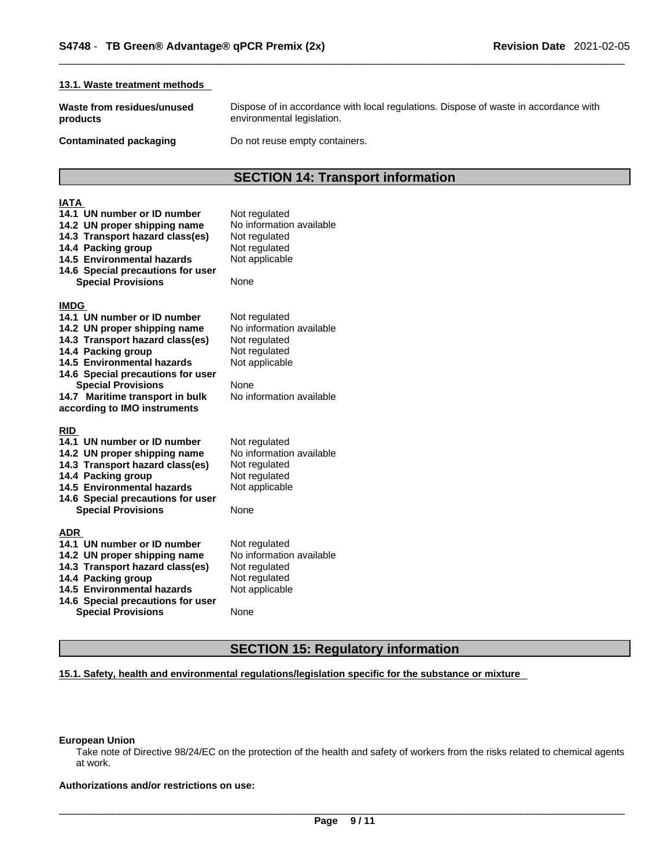#### **13.1. Waste treatment methods**

**Waste from residues/unused products** 

Dispose of in accordance with local regulations. Dispose of waste in accordance with environmental legislation.

**Contaminated packaging Do not reuse empty containers.** 

# **SECTION 14: Transport information**

#### **IATA 14.1 UN number or ID number** Not regulated **14.2 UN proper shipping name** No information available **14.3 Transport hazard class(es)** Not regulated **14.4 Packing group <b>Calcu** Not regulated<br>**14.5 Environmental hazards** Not applicable **14.5 Environmental hazards 14.6 Special precautions for user Special Provisions** None **IMDG 14.1 UN number or ID number** Not regulated **14.2 UN proper shipping name** No information available **14.3 Transport hazard class(es)** Not regulated **14.3 Transport hazard class(es)** Not regulated **14.4 Packing group 14.4 Packing group** 14.5 Environmental hazards Not applicable **14.6 Special precautions for user Special Provisions** None **14.7 Maritime transport in bulk according to IMO instruments** No information available **RID 14.1 UN number or ID number** Not regulated<br>**14.2 UN proper shipping name** No information available **14.2 UN proper shipping name** No information<br>**14.3 Transport hazard class(es)** Not regulated **14.3 Transport hazard class(es) 14.4 Packing group <b>Calcu** Not regulated<br>**14.5 Environmental hazards** Not applicable **14.5 Environmental hazards 14.6 Special precautions for user Special Provisions** None **ADR 14.1 UN number or ID number** Not regulated **14.2 UN proper shipping name** No information available **14.3 Transport hazard class(es)** Not regulated **14.4 Packing group** Not regulated **14.4 Packing group** 14.5 Environmental hazards Not applicable **14.6 Special precautions for user Special Provisions** None

# **SECTION 15: Regulatory information**

#### **15.1. Safety, health and environmental regulations/legislation specific for the substance or mixture**

#### **European Union**

Take note of Directive 98/24/EC on the protection of the health and safety of workers from the risks related to chemical agents at work.

**Authorizations and/or restrictions on use:**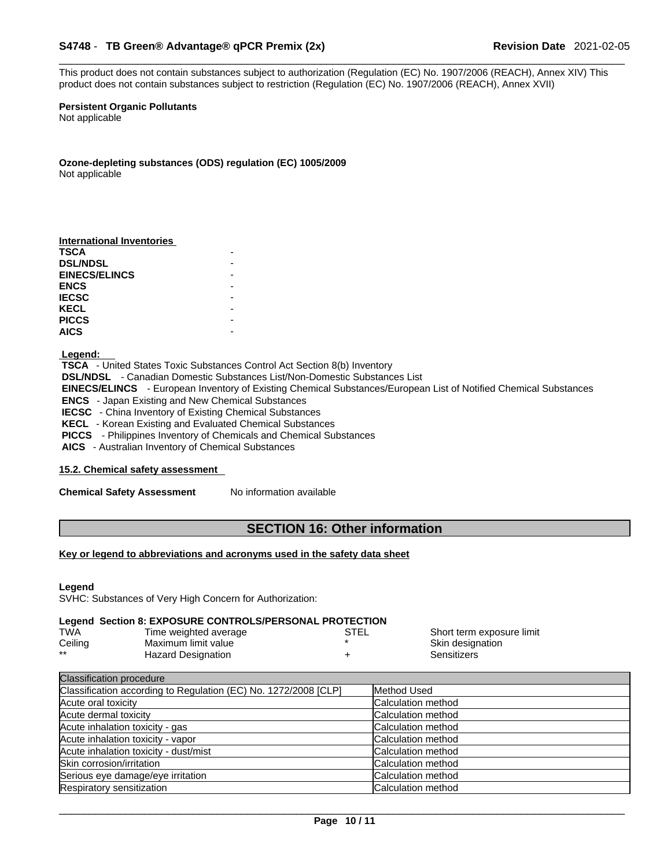#### \_\_\_\_\_\_\_\_\_\_\_\_\_\_\_\_\_\_\_\_\_\_\_\_\_\_\_\_\_\_\_\_\_\_\_\_\_\_\_\_\_\_\_\_\_\_\_\_\_\_\_\_\_\_\_\_\_\_\_\_\_\_\_\_\_\_\_\_\_\_\_\_\_\_\_\_\_\_\_\_\_\_\_\_\_\_\_\_\_\_\_\_\_ **S4748** - **TB Green® Advantage® qPCR Premix (2x) Revision Date** 2021-02-05

This product does not contain substances subject to authorization (Regulation (EC) No. 1907/2006 (REACH), Annex XIV) This product does not contain substances subject to restriction (Regulation (EC) No. 1907/2006 (REACH), Annex XVII)

#### **Persistent Organic Pollutants**

Not applicable

**Ozone-depleting substances (ODS) regulation (EC) 1005/2009** Not applicable

| <b>International Inventories</b> |  |
|----------------------------------|--|
| <b>TSCA</b>                      |  |
| <b>DSL/NDSL</b>                  |  |
| <b>EINECS/ELINCS</b>             |  |
| <b>ENCS</b>                      |  |
| <b>IECSC</b>                     |  |
| <b>KECL</b>                      |  |
| <b>PICCS</b>                     |  |
| <b>AICS</b>                      |  |

#### **Legend:**

 **TSCA** - United States Toxic Substances Control Act Section 8(b) Inventory  **DSL/NDSL** - Canadian Domestic Substances List/Non-Domestic Substances List  **EINECS/ELINCS** - European Inventory of Existing Chemical Substances/European List of Notified Chemical Substances  **ENCS** - Japan Existing and New Chemical Substances  **IECSC** - China Inventory of Existing Chemical Substances  **KECL** - Korean Existing and Evaluated Chemical Substances  **PICCS** - Philippines Inventory of Chemicals and Chemical Substances  **AICS** - Australian Inventory of Chemical Substances

#### **15.2. Chemical safety assessment**

**Chemical Safety Assessment** No information available

# **SECTION 16: Other information**

#### **Key or legend to abbreviations and acronyms used in the safety data sheet**

#### **Legend**

SVHC: Substances of Very High Concern for Authorization:

#### **Legend Section 8: EXPOSURE CONTROLS/PERSONAL PROTECTION**

| TWA     | Time weighted average     | <b>STEL</b> | Short term exposure limit |
|---------|---------------------------|-------------|---------------------------|
| Ceiling | Maximum limit value       |             | Skin designation          |
| $***$   | <b>Hazard Designation</b> |             | Sensitizers               |

| <b>Classification procedure</b>                                 |                           |
|-----------------------------------------------------------------|---------------------------|
| Classification according to Regulation (EC) No. 1272/2008 [CLP] | Method Used               |
| Acute oral toxicity                                             | <b>Calculation method</b> |
| Acute dermal toxicity                                           | <b>Calculation method</b> |
| Acute inhalation toxicity - gas                                 | Calculation method        |
| Acute inhalation toxicity - vapor                               | Calculation method        |
| Acute inhalation toxicity - dust/mist                           | <b>Calculation method</b> |
| Skin corrosion/irritation                                       | <b>Calculation method</b> |
| Serious eye damage/eye irritation                               | <b>Calculation method</b> |
| Respiratory sensitization                                       | <b>Calculation method</b> |